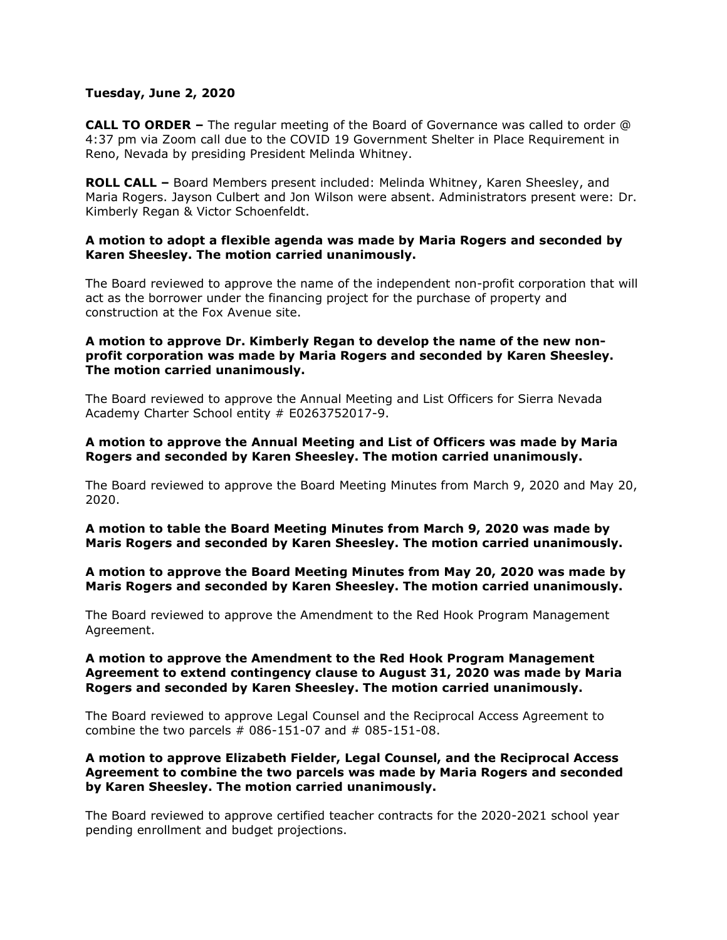#### **Tuesday, June 2, 2020**

**CALL TO ORDER –** The regular meeting of the Board of Governance was called to order @ 4:37 pm via Zoom call due to the COVID 19 Government Shelter in Place Requirement in Reno, Nevada by presiding President Melinda Whitney.

**ROLL CALL –** Board Members present included: Melinda Whitney, Karen Sheesley, and Maria Rogers. Jayson Culbert and Jon Wilson were absent. Administrators present were: Dr. Kimberly Regan & Victor Schoenfeldt.

## **A motion to adopt a flexible agenda was made by Maria Rogers and seconded by Karen Sheesley. The motion carried unanimously.**

The Board reviewed to approve the name of the independent non-profit corporation that will act as the borrower under the financing project for the purchase of property and construction at the Fox Avenue site.

## **A motion to approve Dr. Kimberly Regan to develop the name of the new nonprofit corporation was made by Maria Rogers and seconded by Karen Sheesley. The motion carried unanimously.**

The Board reviewed to approve the Annual Meeting and List Officers for Sierra Nevada Academy Charter School entity # E0263752017-9.

#### **A motion to approve the Annual Meeting and List of Officers was made by Maria Rogers and seconded by Karen Sheesley. The motion carried unanimously.**

The Board reviewed to approve the Board Meeting Minutes from March 9, 2020 and May 20, 2020.

**A motion to table the Board Meeting Minutes from March 9, 2020 was made by Maris Rogers and seconded by Karen Sheesley. The motion carried unanimously.** 

## **A motion to approve the Board Meeting Minutes from May 20, 2020 was made by Maris Rogers and seconded by Karen Sheesley. The motion carried unanimously.**

The Board reviewed to approve the Amendment to the Red Hook Program Management Agreement.

### **A motion to approve the Amendment to the Red Hook Program Management Agreement to extend contingency clause to August 31, 2020 was made by Maria Rogers and seconded by Karen Sheesley. The motion carried unanimously.**

The Board reviewed to approve Legal Counsel and the Reciprocal Access Agreement to combine the two parcels  $#$  086-151-07 and  $#$  085-151-08.

#### **A motion to approve Elizabeth Fielder, Legal Counsel, and the Reciprocal Access Agreement to combine the two parcels was made by Maria Rogers and seconded by Karen Sheesley. The motion carried unanimously.**

The Board reviewed to approve certified teacher contracts for the 2020-2021 school year pending enrollment and budget projections.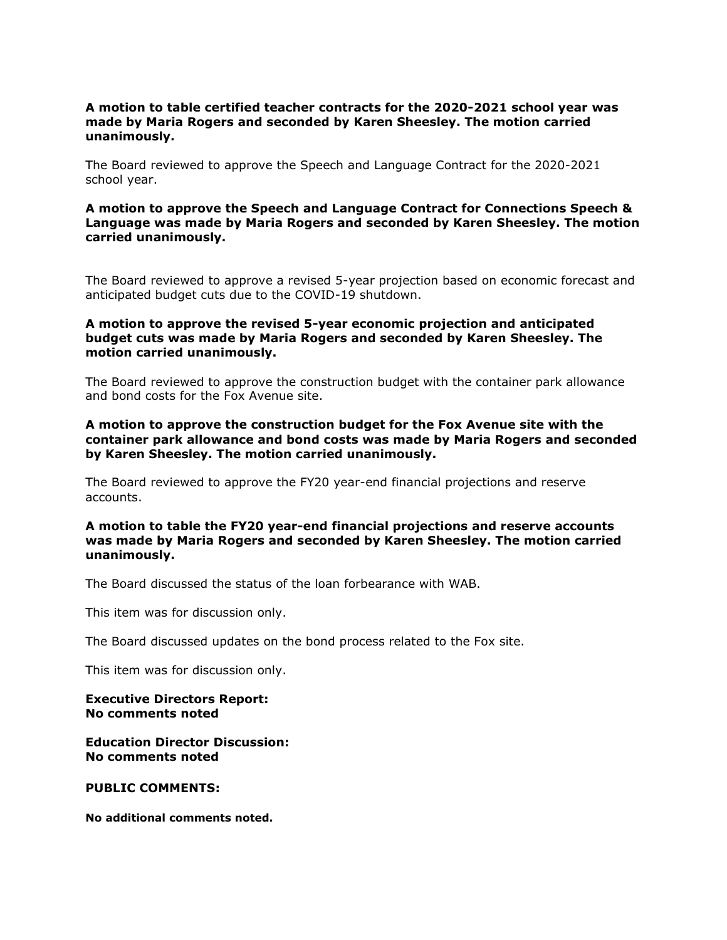## **A motion to table certified teacher contracts for the 2020-2021 school year was made by Maria Rogers and seconded by Karen Sheesley. The motion carried unanimously.**

The Board reviewed to approve the Speech and Language Contract for the 2020-2021 school year.

### **A motion to approve the Speech and Language Contract for Connections Speech & Language was made by Maria Rogers and seconded by Karen Sheesley. The motion carried unanimously.**

The Board reviewed to approve a revised 5-year projection based on economic forecast and anticipated budget cuts due to the COVID-19 shutdown.

#### **A motion to approve the revised 5-year economic projection and anticipated budget cuts was made by Maria Rogers and seconded by Karen Sheesley. The motion carried unanimously.**

The Board reviewed to approve the construction budget with the container park allowance and bond costs for the Fox Avenue site.

## **A motion to approve the construction budget for the Fox Avenue site with the container park allowance and bond costs was made by Maria Rogers and seconded by Karen Sheesley. The motion carried unanimously.**

The Board reviewed to approve the FY20 year-end financial projections and reserve accounts.

#### **A motion to table the FY20 year-end financial projections and reserve accounts was made by Maria Rogers and seconded by Karen Sheesley. The motion carried unanimously.**

The Board discussed the status of the loan forbearance with WAB.

This item was for discussion only.

The Board discussed updates on the bond process related to the Fox site.

This item was for discussion only.

#### **Executive Directors Report: No comments noted**

**Education Director Discussion: No comments noted** 

#### **PUBLIC COMMENTS:**

**No additional comments noted.**